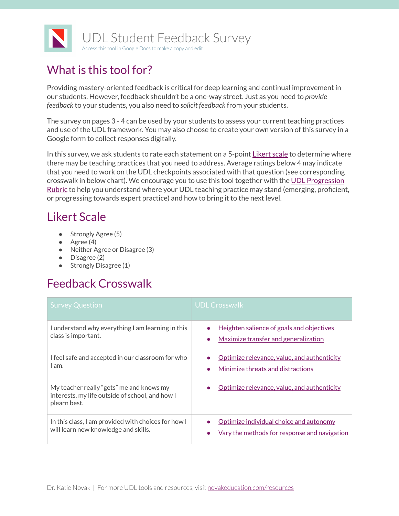

## What is this tool for?

Providing mastery-oriented feedback is critical for deep learning and continual improvement in our students. However, feedback shouldn't be a one-way street. Just as you need to *provide feedback* to your students, you also need to *solicit feedback* from your students.

The survey on pages 3 - 4 can be used by your students to assess your current teaching practices and use of the UDL framework. You may also choose to create your own version of this survey in a Google form to collect responses digitally.

In this survey, we ask students to rate each statement on a 5-point [Likert](https://www.simplypsychology.org/likert-scale.html) scale to determine where there may be teaching practices that you need to address. Average ratings below 4 may indicate that you need to work on the UDL checkpoints associated with that question (see corresponding crosswalk in below chart). We encourage you to use this tool together with the UDL [Progression](http://castpublishing.org/wp-content/uploads/2018/02/UDL_Progression_Rubric_FINAL_Web_REV1.pdf) [Rubric](http://castpublishing.org/wp-content/uploads/2018/02/UDL_Progression_Rubric_FINAL_Web_REV1.pdf) to help you understand where your UDL teaching practice may stand (emerging, proficient, or progressing towards expert practice) and how to bring it to the next level.

## Likert Scale

- Strongly Agree (5)
- $\bullet$  Agree (4)
- Neither Agree or Disagree (3)
- Disagree (2)
- Strongly Disagree (1)

## Feedback Crosswalk

| <b>Survey Question</b>                                                                                      | <b>UDL Crosswalk</b>                                                                           |
|-------------------------------------------------------------------------------------------------------------|------------------------------------------------------------------------------------------------|
| I understand why everything I am learning in this<br>class is important.                                    | Heighten salience of goals and objectives<br>$\bullet$<br>Maximize transfer and generalization |
| I feel safe and accepted in our classroom for who<br>l am.                                                  | Optimize relevance, value, and authenticity<br>Minimize threats and distractions               |
| My teacher really "gets" me and knows my<br>interests, my life outside of school, and how I<br>plearn best. | Optimize relevance, value, and authenticity                                                    |
| In this class, I am provided with choices for how I<br>will learn new knowledge and skills.                 | Optimize individual choice and autonomy<br>Vary the methods for response and navigation<br>O   |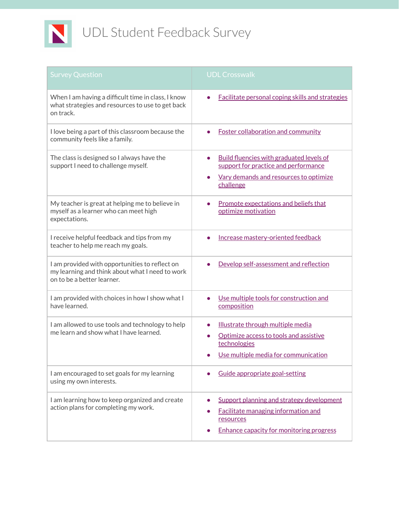

| <b>Survey Question</b>                                                                                                          | <b>UDL Crosswalk</b>                                                                                                                                          |
|---------------------------------------------------------------------------------------------------------------------------------|---------------------------------------------------------------------------------------------------------------------------------------------------------------|
| When I am having a difficult time in class, I know<br>what strategies and resources to use to get back<br>on track.             | <b>Facilitate personal coping skills and strategies</b>                                                                                                       |
| I love being a part of this classroom because the<br>community feels like a family.                                             | <b>Foster collaboration and community</b>                                                                                                                     |
| The class is designed so I always have the<br>support I need to challenge myself.                                               | <b>Build fluencies with graduated levels of</b><br>$\bullet$<br>support for practice and performance<br>Vary demands and resources to optimize<br>challenge   |
| My teacher is great at helping me to believe in<br>myself as a learner who can meet high<br>expectations.                       | Promote expectations and beliefs that<br>optimize motivation                                                                                                  |
| I receive helpful feedback and tips from my<br>teacher to help me reach my goals.                                               | Increase mastery-oriented feedback                                                                                                                            |
| I am provided with opportunities to reflect on<br>my learning and think about what I need to work<br>on to be a better learner. | Develop self-assessment and reflection                                                                                                                        |
| I am provided with choices in how I show what I<br>have learned.                                                                | Use multiple tools for construction and<br>composition                                                                                                        |
| I am allowed to use tools and technology to help<br>me learn and show what I have learned.                                      | Illustrate through multiple media<br>$\bullet$<br>Optimize access to tools and assistive<br>$\bullet$<br>technologies<br>Use multiple media for communication |
| I am encouraged to set goals for my learning<br>using my own interests.                                                         | Guide appropriate goal-setting                                                                                                                                |
| I am learning how to keep organized and create<br>action plans for completing my work.                                          | Support planning and strategy development<br>Facilitate managing information and<br>resources<br><b>Enhance capacity for monitoring progress</b>              |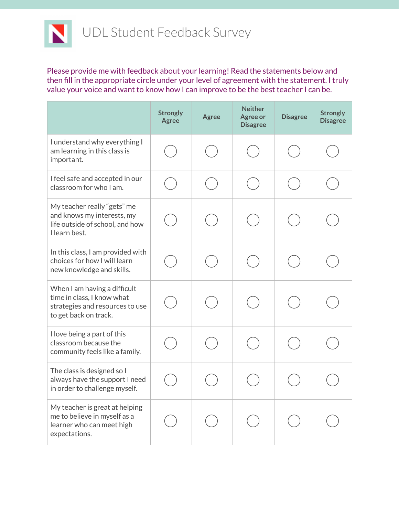

Please provide me with feedback about your learning! Read the statements below and then fill in the appropriate circle under your level of agreement with the statement. I truly value your voice and want to know how I can improve to be the best teacher I can be.

|                                                                                                                        | <b>Strongly</b><br><b>Agree</b> | <b>Agree</b> | <b>Neither</b><br><b>Agree or</b><br><b>Disagree</b> | <b>Disagree</b> | <b>Strongly</b><br><b>Disagree</b> |
|------------------------------------------------------------------------------------------------------------------------|---------------------------------|--------------|------------------------------------------------------|-----------------|------------------------------------|
| I understand why everything I<br>am learning in this class is<br>important.                                            |                                 |              |                                                      |                 |                                    |
| I feel safe and accepted in our<br>classroom for who I am.                                                             |                                 |              |                                                      |                 |                                    |
| My teacher really "gets" me<br>and knows my interests, my<br>life outside of school, and how<br>I learn best.          |                                 |              |                                                      |                 |                                    |
| In this class, I am provided with<br>choices for how I will learn<br>new knowledge and skills.                         |                                 |              |                                                      |                 |                                    |
| When I am having a difficult<br>time in class, I know what<br>strategies and resources to use<br>to get back on track. |                                 |              |                                                      |                 |                                    |
| I love being a part of this<br>classroom because the<br>community feels like a family.                                 |                                 |              |                                                      |                 |                                    |
| The class is designed so I<br>always have the support I need<br>in order to challenge myself.                          |                                 |              |                                                      |                 |                                    |
| My teacher is great at helping<br>me to believe in myself as a<br>learner who can meet high<br>expectations.           |                                 |              |                                                      |                 |                                    |